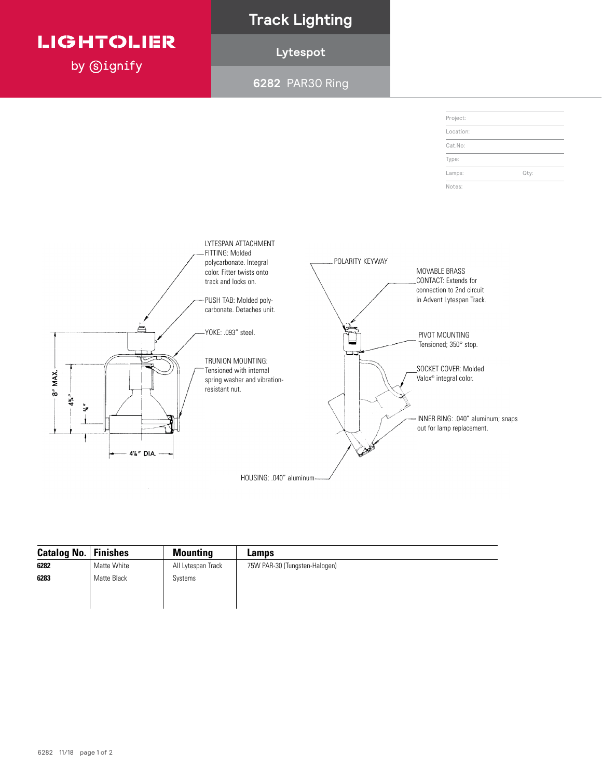# **LIGHTOLIER**

by **Signify** 

## **Track Lighting**

## **Lytespot**

**6282** PAR30 Ring



| Catalog No. | Finishes    | <b>Mounting</b>    | Lamps                         |
|-------------|-------------|--------------------|-------------------------------|
| 6282        | Matte White | All Lytespan Track | 75W PAR-30 (Tungsten-Halogen) |
| 6283        | Matte Black | Systems            |                               |
|             |             |                    |                               |